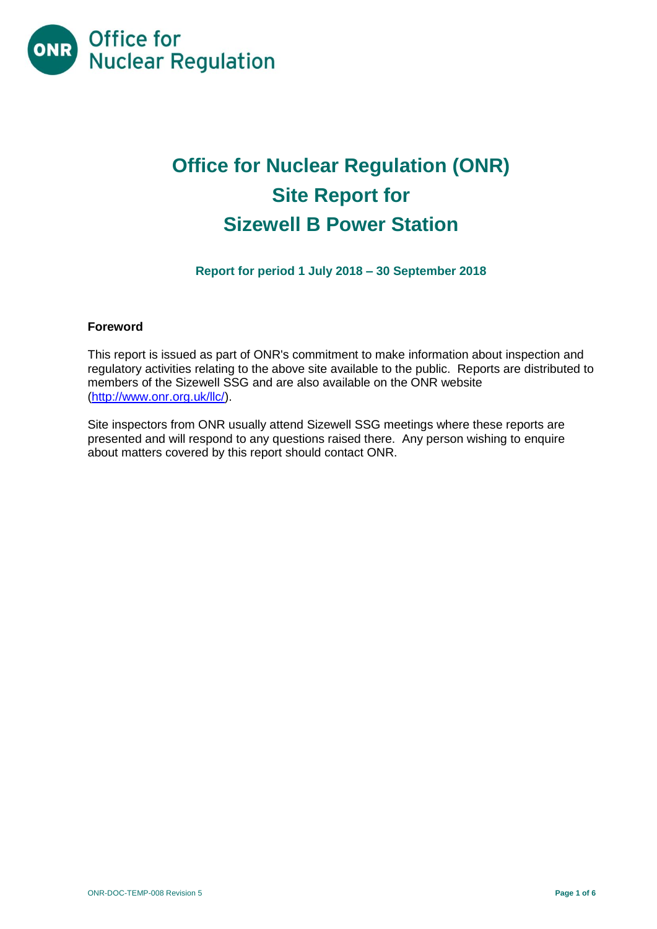

# **Office for Nuclear Regulation (ONR) Site Report for Sizewell B Power Station**

**Report for period 1 July 2018 – 30 September 2018**

# **Foreword**

This report is issued as part of ONR's commitment to make information about inspection and regulatory activities relating to the above site available to the public. Reports are distributed to members of the Sizewell SSG and are also available on the ONR website [\(http://www.onr.org.uk/llc/\)](http://www.onr.org.uk/llc/).

Site inspectors from ONR usually attend Sizewell SSG meetings where these reports are presented and will respond to any questions raised there. Any person wishing to enquire about matters covered by this report should contact ONR.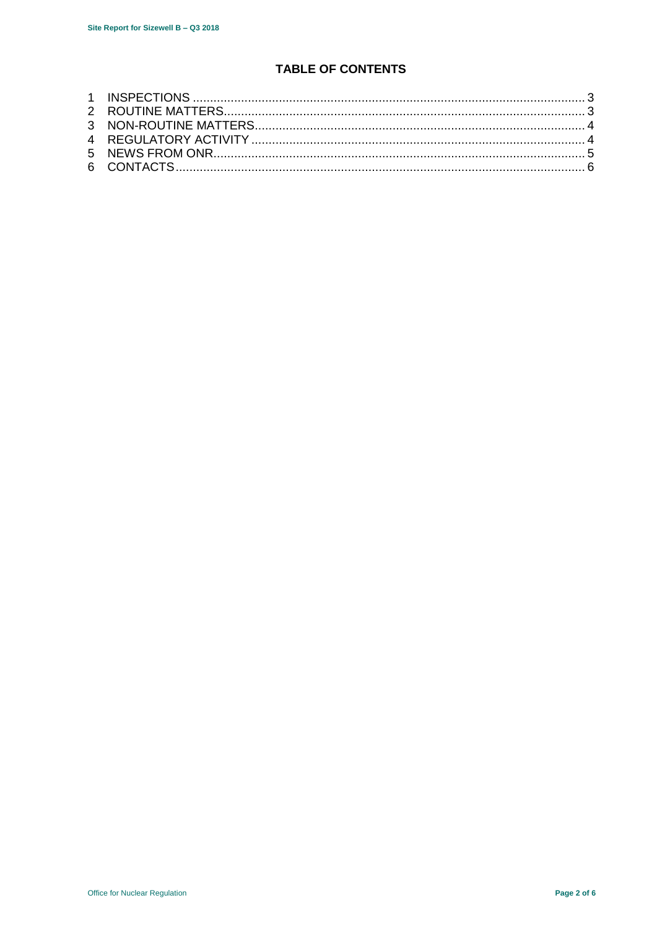# **TABLE OF CONTENTS**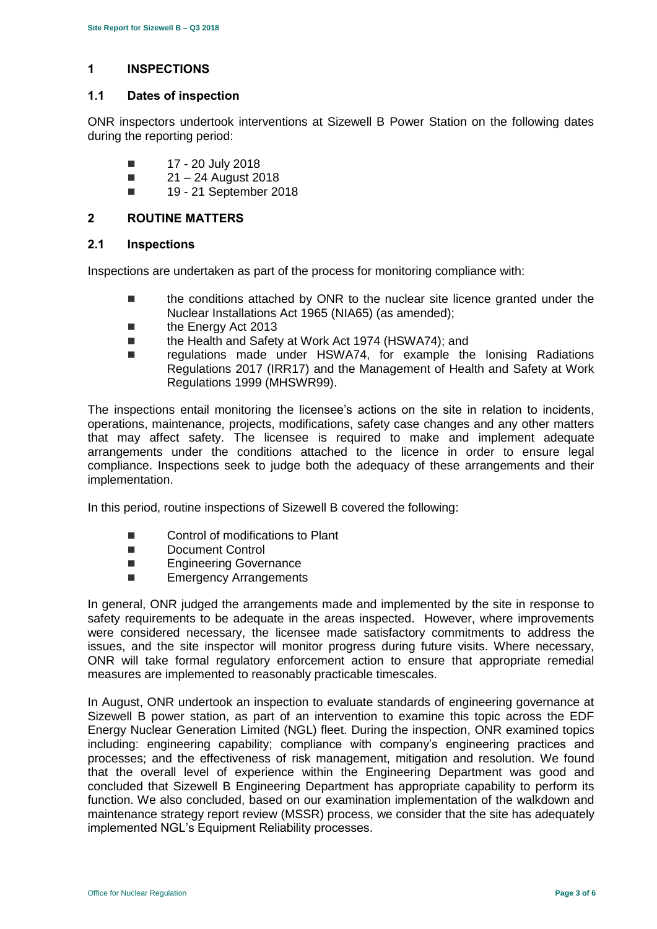# <span id="page-2-0"></span>**1 INSPECTIONS**

#### **1.1 Dates of inspection**

ONR inspectors undertook interventions at Sizewell B Power Station on the following dates during the reporting period:

- $\blacksquare$  17 20 July 2018
- $21 24$  August 2018
- **19 21 September 2018**

#### <span id="page-2-1"></span>**2 ROUTINE MATTERS**

#### **2.1 Inspections**

Inspections are undertaken as part of the process for monitoring compliance with:

- the conditions attached by ONR to the nuclear site licence granted under the Nuclear Installations Act 1965 (NIA65) (as amended);
- the Energy Act 2013
- the Health and Safety at Work Act 1974 (HSWA74); and
- regulations made under HSWA74, for example the Ionising Radiations Regulations 2017 (IRR17) and the Management of Health and Safety at Work Regulations 1999 (MHSWR99).

The inspections entail monitoring the licensee's actions on the site in relation to incidents, operations, maintenance, projects, modifications, safety case changes and any other matters that may affect safety. The licensee is required to make and implement adequate arrangements under the conditions attached to the licence in order to ensure legal compliance. Inspections seek to judge both the adequacy of these arrangements and their implementation.

In this period, routine inspections of Sizewell B covered the following:

- Control of modifications to Plant
- Document Control
- Engineering Governance
- **Emergency Arrangements**

In general, ONR judged the arrangements made and implemented by the site in response to safety requirements to be adequate in the areas inspected. However, where improvements were considered necessary, the licensee made satisfactory commitments to address the issues, and the site inspector will monitor progress during future visits. Where necessary, ONR will take formal regulatory enforcement action to ensure that appropriate remedial measures are implemented to reasonably practicable timescales.

In August, ONR undertook an inspection to evaluate standards of engineering governance at Sizewell B power station, as part of an intervention to examine this topic across the EDF Energy Nuclear Generation Limited (NGL) fleet. During the inspection, ONR examined topics including: engineering capability; compliance with company's engineering practices and processes; and the effectiveness of risk management, mitigation and resolution. We found that the overall level of experience within the Engineering Department was good and concluded that Sizewell B Engineering Department has appropriate capability to perform its function. We also concluded, based on our examination implementation of the walkdown and maintenance strategy report review (MSSR) process, we consider that the site has adequately implemented NGL's Equipment Reliability processes.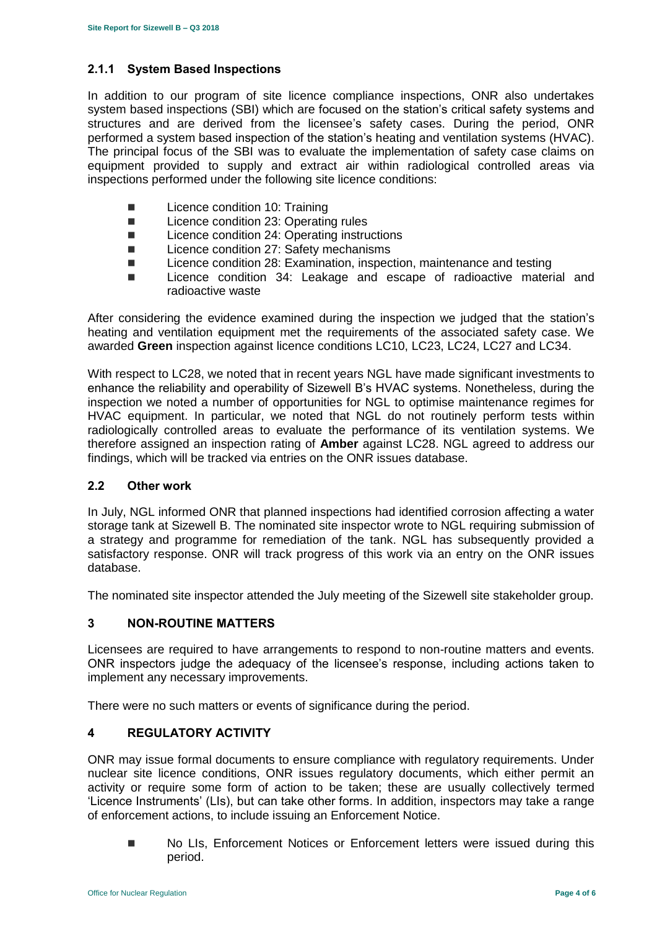# **2.1.1 System Based Inspections**

In addition to our program of site licence compliance inspections, ONR also undertakes system based inspections (SBI) which are focused on the station's critical safety systems and structures and are derived from the licensee's safety cases. During the period, ONR performed a system based inspection of the station's heating and ventilation systems (HVAC). The principal focus of the SBI was to evaluate the implementation of safety case claims on equipment provided to supply and extract air within radiological controlled areas via inspections performed under the following site licence conditions:

- Licence condition 10: Training
- Licence condition 23: Operating rules
- Licence condition 24: Operating instructions
- Licence condition 27: Safety mechanisms
- Licence condition 28: Examination, inspection, maintenance and testing
- **Licence condition 34: Leakage and escape of radioactive material and** radioactive waste

After considering the evidence examined during the inspection we judged that the station's heating and ventilation equipment met the requirements of the associated safety case. We awarded **Green** inspection against licence conditions LC10, LC23, LC24, LC27 and LC34.

With respect to LC28, we noted that in recent years NGL have made significant investments to enhance the reliability and operability of Sizewell B's HVAC systems. Nonetheless, during the inspection we noted a number of opportunities for NGL to optimise maintenance regimes for HVAC equipment. In particular, we noted that NGL do not routinely perform tests within radiologically controlled areas to evaluate the performance of its ventilation systems. We therefore assigned an inspection rating of **Amber** against LC28. NGL agreed to address our findings, which will be tracked via entries on the ONR issues database.

# **2.2 Other work**

In July, NGL informed ONR that planned inspections had identified corrosion affecting a water storage tank at Sizewell B. The nominated site inspector wrote to NGL requiring submission of a strategy and programme for remediation of the tank. NGL has subsequently provided a satisfactory response. ONR will track progress of this work via an entry on the ONR issues database.

The nominated site inspector attended the July meeting of the Sizewell site stakeholder group.

# <span id="page-3-0"></span>**3 NON-ROUTINE MATTERS**

Licensees are required to have arrangements to respond to non-routine matters and events. ONR inspectors judge the adequacy of the licensee's response, including actions taken to implement any necessary improvements.

There were no such matters or events of significance during the period.

# <span id="page-3-1"></span>**4 REGULATORY ACTIVITY**

ONR may issue formal documents to ensure compliance with regulatory requirements. Under nuclear site licence conditions, ONR issues regulatory documents, which either permit an activity or require some form of action to be taken; these are usually collectively termed 'Licence Instruments' (LIs), but can take other forms. In addition, inspectors may take a range of enforcement actions, to include issuing an Enforcement Notice.

**No LIs, Enforcement Notices or Enforcement letters were issued during this** period.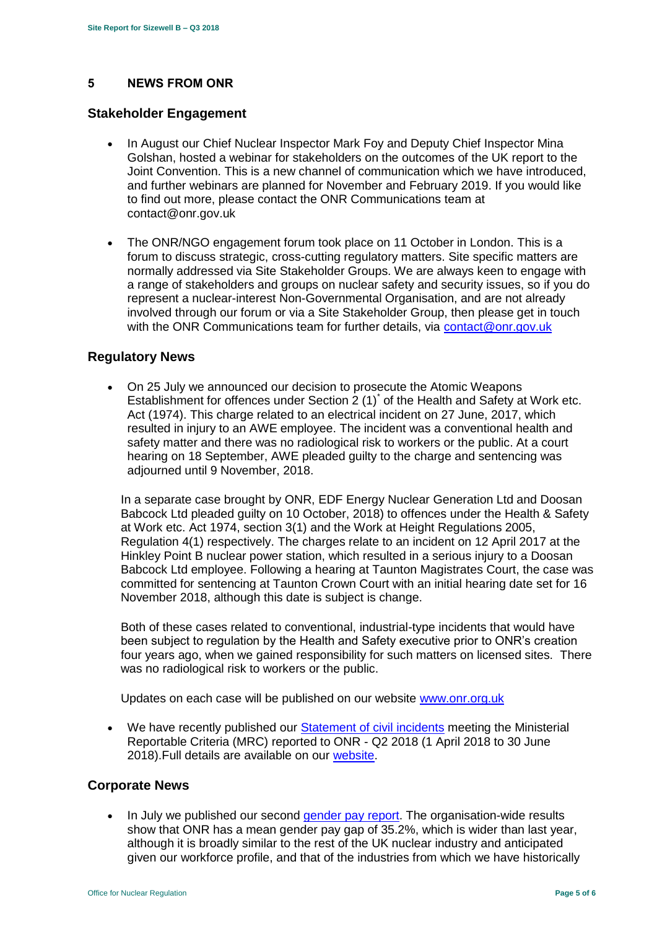# <span id="page-4-0"></span>**5 NEWS FROM ONR**

#### **Stakeholder Engagement**

- In August our Chief Nuclear Inspector Mark Foy and Deputy Chief Inspector Mina Golshan, hosted a webinar for stakeholders on the outcomes of the UK report to the Joint Convention. This is a new channel of communication which we have introduced, and further webinars are planned for November and February 2019. If you would like to find out more, please contact the ONR Communications team at contact@onr.gov.uk
- The ONR/NGO engagement forum took place on 11 October in London. This is a forum to discuss strategic, cross-cutting regulatory matters. Site specific matters are normally addressed via Site Stakeholder Groups. We are always keen to engage with a range of stakeholders and groups on nuclear safety and security issues, so if you do represent a nuclear-interest Non-Governmental Organisation, and are not already involved through our forum or via a Site Stakeholder Group, then please get in touch with the ONR Communications team for further details, via [contact@onr.gov.uk](mailto:contact@onr.gov.uk)

#### **Regulatory News**

 On 25 July we announced our decision to prosecute the Atomic Weapons Establishment for offences under Section  $2(1)^{r}$  of the Health and Safety at Work etc. Act (1974). This charge related to an electrical incident on 27 June, 2017, which resulted in injury to an AWE employee. The incident was a conventional health and safety matter and there was no radiological risk to workers or the public. At a court hearing on 18 September, AWE pleaded guilty to the charge and sentencing was adjourned until 9 November, 2018.

In a separate case brought by ONR, EDF Energy Nuclear Generation Ltd and Doosan Babcock Ltd pleaded guilty on 10 October, 2018) to offences under the Health & Safety at Work etc. Act 1974, section 3(1) and the Work at Height Regulations 2005, Regulation 4(1) respectively. The charges relate to an incident on 12 April 2017 at the Hinkley Point B nuclear power station, which resulted in a serious injury to a Doosan Babcock Ltd employee. Following a hearing at Taunton Magistrates Court, the case was committed for sentencing at Taunton Crown Court with an initial hearing date set for 16 November 2018, although this date is subject is change.

Both of these cases related to conventional, industrial-type incidents that would have been subject to regulation by the Health and Safety executive prior to ONR's creation four years ago, when we gained responsibility for such matters on licensed sites. There was no radiological risk to workers or the public.

Updates on each case will be published on our website [www.onr.org.uk](http://www.onr.org.uk/)

 We have recently published our [Statement of civil incidents](http://www.onr.org.uk/quarterly-stat/2018-2.htm) meeting the Ministerial Reportable Criteria (MRC) reported to ONR - Q2 2018 (1 April 2018 to 30 June 2018).Full details are available on our [website.](http://www.onr.org.uk/quarterly-stat/2018-2.htm)

#### **Corporate News**

• In July we published our second [gender pay report.](http://news.onr.org.uk/2018/07/onr-publishes-second-gender-pay-report/) The organisation-wide results show that ONR has a mean gender pay gap of 35.2%, which is wider than last year, although it is broadly similar to the rest of the UK nuclear industry and anticipated given our workforce profile, and that of the industries from which we have historically